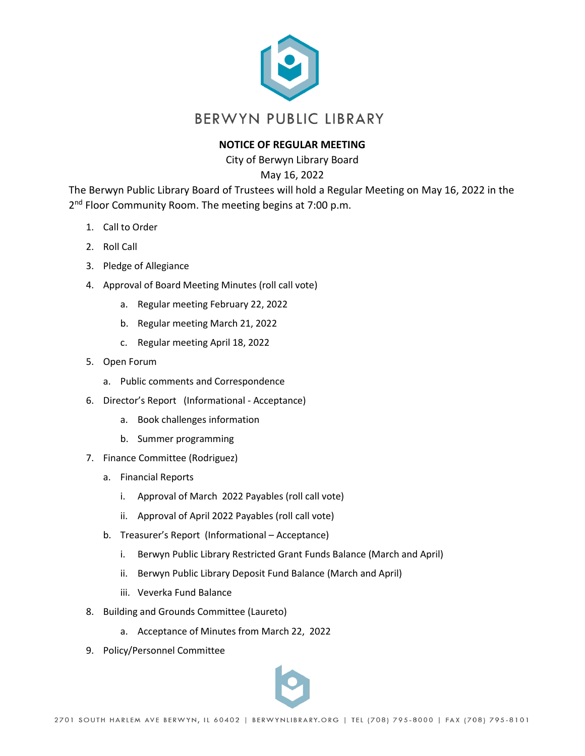

## **NOTICE OF REGULAR MEETING**

City of Berwyn Library Board

May 16, 2022

The Berwyn Public Library Board of Trustees will hold a Regular Meeting on May 16, 2022 in the 2<sup>nd</sup> Floor Community Room. The meeting begins at 7:00 p.m.

- 1. Call to Order
- 2. Roll Call
- 3. Pledge of Allegiance
- 4. Approval of Board Meeting Minutes (roll call vote)
	- a. Regular meeting February 22, 2022
	- b. Regular meeting March 21, 2022
	- c. Regular meeting April 18, 2022
- 5. Open Forum
	- a. Public comments and Correspondence
- 6. Director's Report (Informational Acceptance)
	- a. Book challenges information
	- b. Summer programming
- 7. Finance Committee (Rodriguez)
	- a. Financial Reports
		- i. Approval of March 2022 Payables (roll call vote)
		- ii. Approval of April 2022 Payables (roll call vote)
	- b. Treasurer's Report (Informational Acceptance)
		- i. Berwyn Public Library Restricted Grant Funds Balance (March and April)
		- ii. Berwyn Public Library Deposit Fund Balance (March and April)
		- iii. Veverka Fund Balance
- 8. Building and Grounds Committee (Laureto)
	- a. Acceptance of Minutes from March 22, 2022
- 9. Policy/Personnel Committee

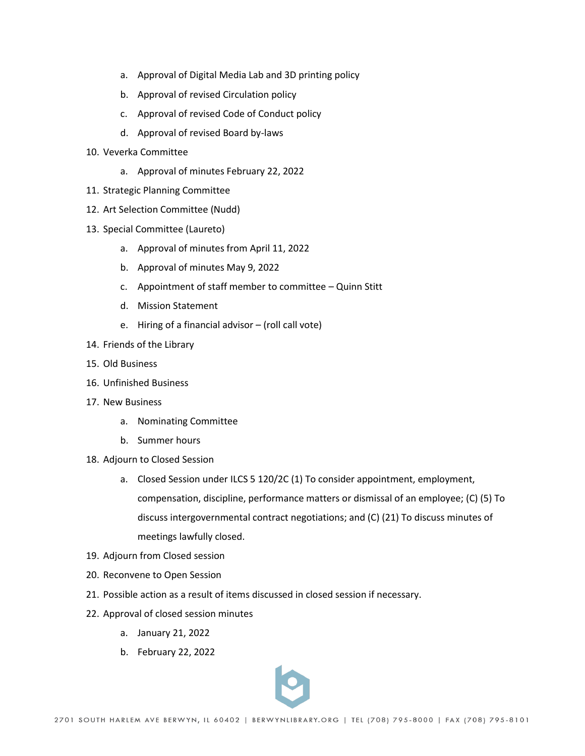- a. Approval of Digital Media Lab and 3D printing policy
- b. Approval of revised Circulation policy
- c. Approval of revised Code of Conduct policy
- d. Approval of revised Board by-laws
- 10. Veverka Committee
	- a. Approval of minutes February 22, 2022
- 11. Strategic Planning Committee
- 12. Art Selection Committee (Nudd)
- 13. Special Committee (Laureto)
	- a. Approval of minutes from April 11, 2022
	- b. Approval of minutes May 9, 2022
	- c. Appointment of staff member to committee Quinn Stitt
	- d. Mission Statement
	- e. Hiring of a financial advisor (roll call vote)
- 14. Friends of the Library
- 15. Old Business
- 16. Unfinished Business
- 17. New Business
	- a. Nominating Committee
	- b. Summer hours
- 18. Adjourn to Closed Session
	- a. Closed Session under ILCS 5 120/2C (1) To consider appointment, employment, compensation, discipline, performance matters or dismissal of an employee; (C) (5) To discuss intergovernmental contract negotiations; and (C) (21) To discuss minutes of meetings lawfully closed.
- 19. Adjourn from Closed session
- 20. Reconvene to Open Session
- 21. Possible action as a result of items discussed in closed session if necessary.
- 22. Approval of closed session minutes
	- a. January 21, 2022
	- b. February 22, 2022